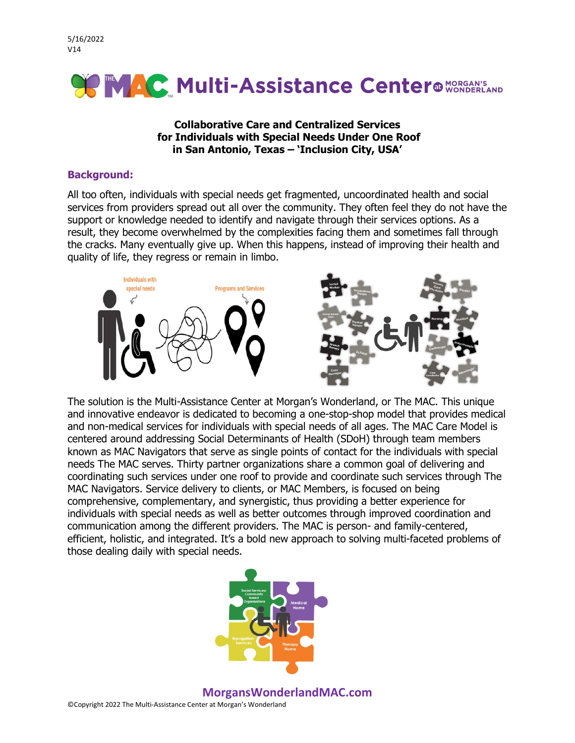5/16/2022 V14



### **Collaborative Care and Centralized Services for Individuals with Special Needs Under One Roof in San Antonio, Texas – 'Inclusion City, USA'**

#### **Background:**

All too often, individuals with special needs get fragmented, uncoordinated health and social services from providers spread out all over the community. They often feel they do not have the support or knowledge needed to identify and navigate through their services options. As a result, they become overwhelmed by the complexities facing them and sometimes fall through the cracks. Many eventually give up. When this happens, instead of improving their health and quality of life, they regress or remain in limbo.



The solution is the Multi-Assistance Center at Morgan's Wonderland, or The MAC. This unique and innovative endeavor is dedicated to becoming a one-stop-shop model that provides medical and non-medical services for individuals with special needs of all ages. The MAC Care Model is centered around addressing Social Determinants of Health (SDoH) through team members known as MAC Navigators that serve as single points of contact for the individuals with special needs The MAC serves. Thirty partner organizations share a common goal of delivering and coordinating such services under one roof to provide and coordinate such services through The MAC Navigators. Service delivery to clients, or MAC Members, is focused on being comprehensive, complementary, and synergistic, thus providing a better experience for individuals with special needs as well as better outcomes through improved coordination and communication among the different providers. The MAC is person- and family-centered, efficient, holistic, and integrated. It's a bold new approach to solving multi-faceted problems of those dealing daily with special needs.



### **MorgansWonderlandMAC.com**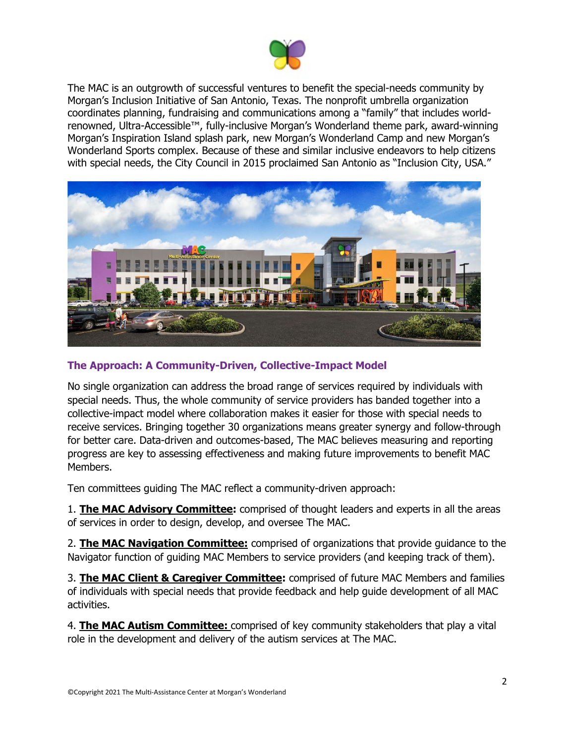

The MAC is an outgrowth of successful ventures to benefit the special-needs community by Morgan's Inclusion Initiative of San Antonio, Texas. The nonprofit umbrella organization coordinates planning, fundraising and communications among a "family" that includes worldrenowned, Ultra-Accessible™, fully-inclusive Morgan's Wonderland theme park, award-winning Morgan's Inspiration Island splash park, new Morgan's Wonderland Camp and new Morgan's Wonderland Sports complex. Because of these and similar inclusive endeavors to help citizens with special needs, the City Council in 2015 proclaimed San Antonio as "Inclusion City, USA."



### **The Approach: A Community-Driven, Collective-Impact Model**

No single organization can address the broad range of services required by individuals with special needs. Thus, the whole community of service providers has banded together into a collective-impact model where collaboration makes it easier for those with special needs to receive services. Bringing together 30 organizations means greater synergy and follow-through for better care. Data-driven and outcomes-based, The MAC believes measuring and reporting progress are key to assessing effectiveness and making future improvements to benefit MAC Members.

Ten committees guiding The MAC reflect a community-driven approach:

1. **The MAC Advisory Committee:** comprised of thought leaders and experts in all the areas of services in order to design, develop, and oversee The MAC.

2. **The MAC Navigation Committee:** comprised of organizations that provide guidance to the Navigator function of guiding MAC Members to service providers (and keeping track of them).

3. **The MAC Client & Caregiver Committee:** comprised of future MAC Members and families of individuals with special needs that provide feedback and help guide development of all MAC activities.

4. **The MAC Autism Committee:** comprised of key community stakeholders that play a vital role in the development and delivery of the autism services at The MAC.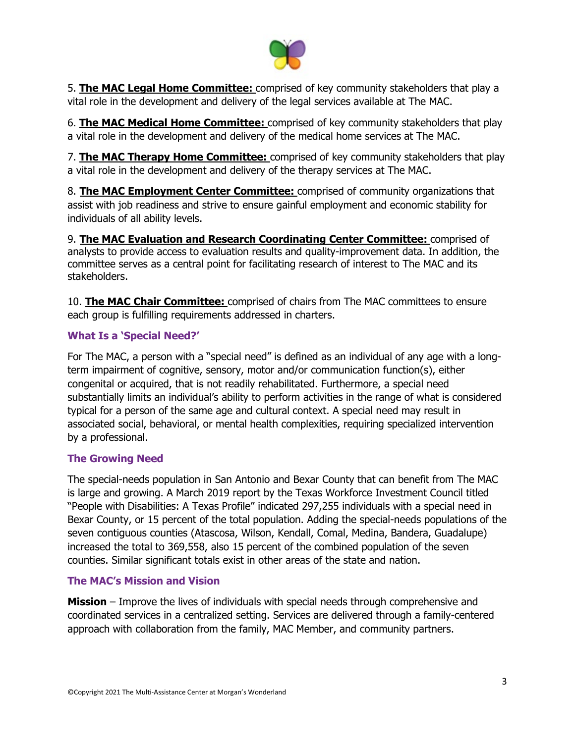

5. **The MAC Legal Home Committee:** comprised of key community stakeholders that play a vital role in the development and delivery of the legal services available at The MAC.

6. **The MAC Medical Home Committee:** comprised of key community stakeholders that play a vital role in the development and delivery of the medical home services at The MAC.

7. **The MAC Therapy Home Committee:** comprised of key community stakeholders that play a vital role in the development and delivery of the therapy services at The MAC.

8. **The MAC Employment Center Committee:** comprised of community organizations that assist with job readiness and strive to ensure gainful employment and economic stability for individuals of all ability levels.

9. **The MAC Evaluation and Research Coordinating Center Committee:** comprised of analysts to provide access to evaluation results and quality-improvement data. In addition, the committee serves as a central point for facilitating research of interest to The MAC and its stakeholders.

10. **The MAC Chair Committee:** comprised of chairs from The MAC committees to ensure each group is fulfilling requirements addressed in charters.

# **What Is a 'Special Need?'**

For The MAC, a person with a "special need" is defined as an individual of any age with a longterm impairment of cognitive, sensory, motor and/or communication function(s), either congenital or acquired, that is not readily rehabilitated. Furthermore, a special need substantially limits an individual's ability to perform activities in the range of what is considered typical for a person of the same age and cultural context. A special need may result in associated social, behavioral, or mental health complexities, requiring specialized intervention by a professional.

## **The Growing Need**

The special-needs population in San Antonio and Bexar County that can benefit from The MAC is large and growing. A March 2019 report by the Texas Workforce Investment Council titled "People with Disabilities: A Texas Profile" indicated 297,255 individuals with a special need in Bexar County, or 15 percent of the total population. Adding the special-needs populations of the seven contiguous counties (Atascosa, Wilson, Kendall, Comal, Medina, Bandera, Guadalupe) increased the total to 369,558, also 15 percent of the combined population of the seven counties. Similar significant totals exist in other areas of the state and nation.

## **The MAC's Mission and Vision**

**Mission** – Improve the lives of individuals with special needs through comprehensive and coordinated services in a centralized setting. Services are delivered through a family-centered approach with collaboration from the family, MAC Member, and community partners.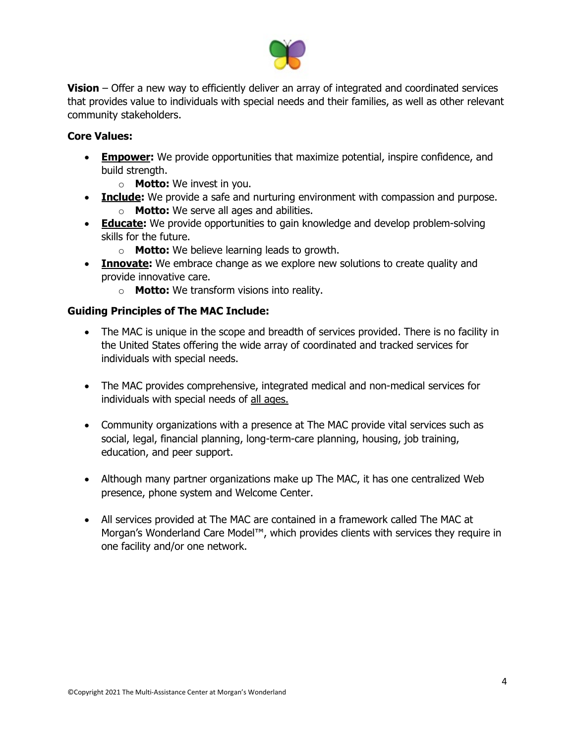

**Vision** – Offer a new way to efficiently deliver an array of integrated and coordinated services that provides value to individuals with special needs and their families, as well as other relevant community stakeholders.

### **Core Values:**

- **Empower:** We provide opportunities that maximize potential, inspire confidence, and build strength.
	- o **Motto:** We invest in you.
- **Include:** We provide a safe and nurturing environment with compassion and purpose.
	- o **Motto:** We serve all ages and abilities.
- **Educate:** We provide opportunities to gain knowledge and develop problem-solving skills for the future.
	- o **Motto:** We believe learning leads to growth.
- **Innovate:** We embrace change as we explore new solutions to create quality and provide innovative care.
	- o **Motto:** We transform visions into reality.

### **Guiding Principles of The MAC Include:**

- The MAC is unique in the scope and breadth of services provided. There is no facility in the United States offering the wide array of coordinated and tracked services for individuals with special needs.
- The MAC provides comprehensive, integrated medical and non-medical services for individuals with special needs of all ages.
- Community organizations with a presence at The MAC provide vital services such as social, legal, financial planning, long-term-care planning, housing, job training, education, and peer support.
- Although many partner organizations make up The MAC, it has one centralized Web presence, phone system and Welcome Center.
- All services provided at The MAC are contained in a framework called The MAC at Morgan's Wonderland Care Model™, which provides clients with services they require in one facility and/or one network.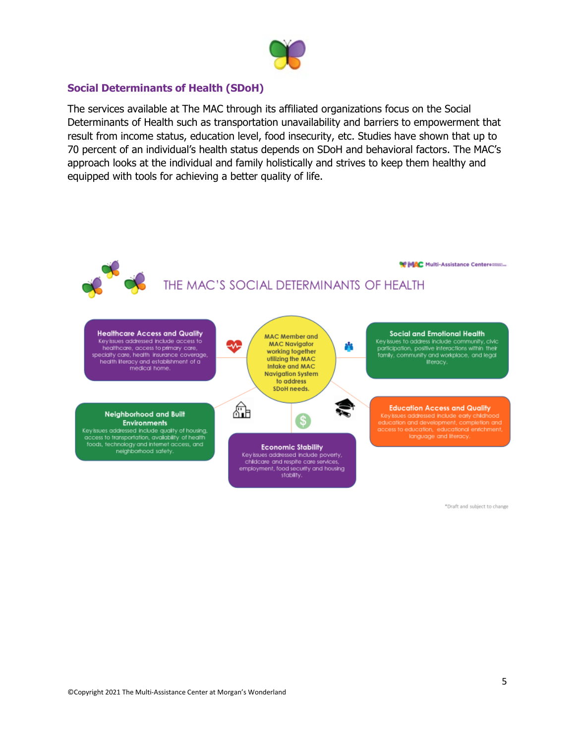

### **Social Determinants of Health (SDoH)**

The services available at The MAC through its affiliated organizations focus on the Social Determinants of Health such as transportation unavailability and barriers to empowerment that result from income status, education level, food insecurity, etc. Studies have shown that up to 70 percent of an individual's health status depends on SDoH and behavioral factors. The MAC's approach looks at the individual and family holistically and strives to keep them healthy and equipped with tools for achieving a better quality of life.



\*Draft and subject to change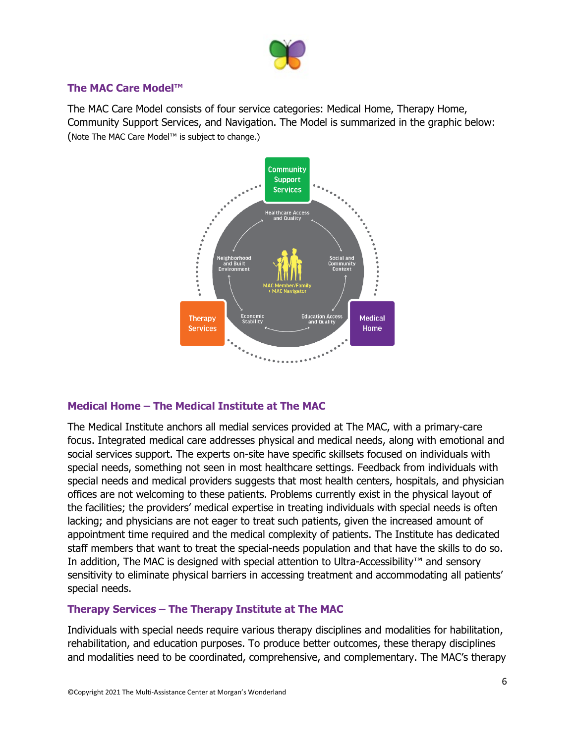

### **The MAC Care Model™**

The MAC Care Model consists of four service categories: Medical Home, Therapy Home, Community Support Services, and Navigation. The Model is summarized in the graphic below: (Note The MAC Care Model™ is subject to change.)



## **Medical Home – The Medical Institute at The MAC**

The Medical Institute anchors all medial services provided at The MAC, with a primary-care focus. Integrated medical care addresses physical and medical needs, along with emotional and social services support. The experts on-site have specific skillsets focused on individuals with special needs, something not seen in most healthcare settings. Feedback from individuals with special needs and medical providers suggests that most health centers, hospitals, and physician offices are not welcoming to these patients. Problems currently exist in the physical layout of the facilities; the providers' medical expertise in treating individuals with special needs is often lacking; and physicians are not eager to treat such patients, given the increased amount of appointment time required and the medical complexity of patients. The Institute has dedicated staff members that want to treat the special-needs population and that have the skills to do so. In addition, The MAC is designed with special attention to Ultra-Accessibility™ and sensory sensitivity to eliminate physical barriers in accessing treatment and accommodating all patients' special needs.

## **Therapy Services – The Therapy Institute at The MAC**

Individuals with special needs require various therapy disciplines and modalities for habilitation, rehabilitation, and education purposes. To produce better outcomes, these therapy disciplines and modalities need to be coordinated, comprehensive, and complementary. The MAC's therapy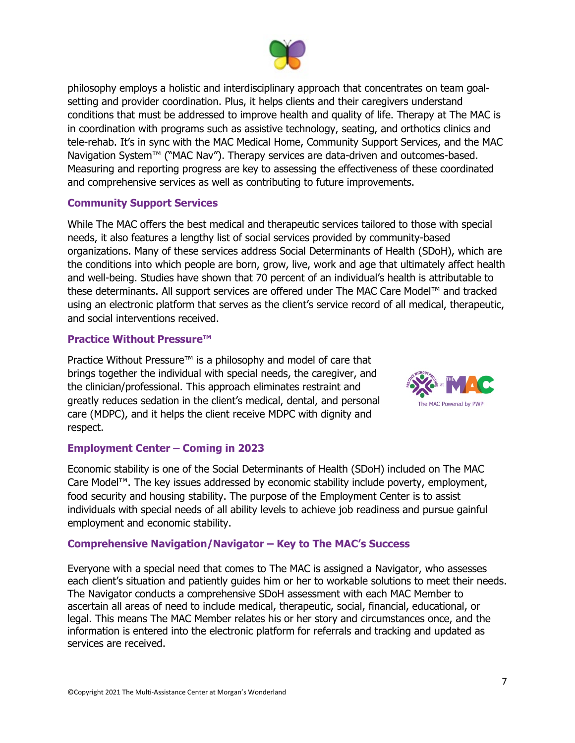

philosophy employs a holistic and interdisciplinary approach that concentrates on team goalsetting and provider coordination. Plus, it helps clients and their caregivers understand conditions that must be addressed to improve health and quality of life. Therapy at The MAC is in coordination with programs such as assistive technology, seating, and orthotics clinics and tele-rehab. It's in sync with the MAC Medical Home, Community Support Services, and the MAC Navigation System™ ("MAC Nav"). Therapy services are data-driven and outcomes-based. Measuring and reporting progress are key to assessing the effectiveness of these coordinated and comprehensive services as well as contributing to future improvements.

#### **Community Support Services**

While The MAC offers the best medical and therapeutic services tailored to those with special needs, it also features a lengthy list of social services provided by community-based organizations. Many of these services address Social Determinants of Health (SDoH), which are the conditions into which people are born, grow, live, work and age that ultimately affect health and well-being. Studies have shown that 70 percent of an individual's health is attributable to these determinants. All support services are offered under The MAC Care Model™ and tracked using an electronic platform that serves as the client's service record of all medical, therapeutic, and social interventions received.

#### **Practice Without Pressure™**

Practice Without Pressure<sup>™</sup> is a philosophy and model of care that brings together the individual with special needs, the caregiver, and the clinician/professional. This approach eliminates restraint and greatly reduces sedation in the client's medical, dental, and personal care (MDPC), and it helps the client receive MDPC with dignity and respect.



#### **Employment Center – Coming in 2023**

Economic stability is one of the Social Determinants of Health (SDoH) included on The MAC Care Model™. The key issues addressed by economic stability include poverty, employment, food security and housing stability. The purpose of the Employment Center is to assist individuals with special needs of all ability levels to achieve job readiness and pursue gainful employment and economic stability.

#### **Comprehensive Navigation/Navigator – Key to The MAC's Success**

Everyone with a special need that comes to The MAC is assigned a Navigator, who assesses each client's situation and patiently guides him or her to workable solutions to meet their needs. The Navigator conducts a comprehensive SDoH assessment with each MAC Member to ascertain all areas of need to include medical, therapeutic, social, financial, educational, or legal. This means The MAC Member relates his or her story and circumstances once, and the information is entered into the electronic platform for referrals and tracking and updated as services are received.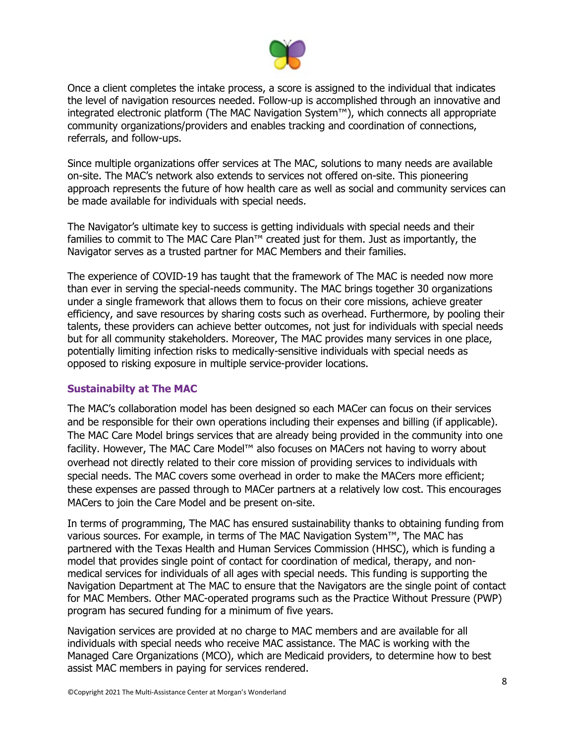

Once a client completes the intake process, a score is assigned to the individual that indicates the level of navigation resources needed. Follow-up is accomplished through an innovative and integrated electronic platform (The MAC Navigation System™), which connects all appropriate community organizations/providers and enables tracking and coordination of connections, referrals, and follow-ups.

Since multiple organizations offer services at The MAC, solutions to many needs are available on-site. The MAC's network also extends to services not offered on-site. This pioneering approach represents the future of how health care as well as social and community services can be made available for individuals with special needs.

The Navigator's ultimate key to success is getting individuals with special needs and their families to commit to The MAC Care Plan™ created just for them. Just as importantly, the Navigator serves as a trusted partner for MAC Members and their families.

The experience of COVID-19 has taught that the framework of The MAC is needed now more than ever in serving the special-needs community. The MAC brings together 30 organizations under a single framework that allows them to focus on their core missions, achieve greater efficiency, and save resources by sharing costs such as overhead. Furthermore, by pooling their talents, these providers can achieve better outcomes, not just for individuals with special needs but for all community stakeholders. Moreover, The MAC provides many services in one place, potentially limiting infection risks to medically-sensitive individuals with special needs as opposed to risking exposure in multiple service-provider locations.

#### **Sustainabilty at The MAC**

The MAC's collaboration model has been designed so each MACer can focus on their services and be responsible for their own operations including their expenses and billing (if applicable). The MAC Care Model brings services that are already being provided in the community into one facility. However, The MAC Care Model™ also focuses on MACers not having to worry about overhead not directly related to their core mission of providing services to individuals with special needs. The MAC covers some overhead in order to make the MACers more efficient; these expenses are passed through to MACer partners at a relatively low cost. This encourages MACers to join the Care Model and be present on-site.

In terms of programming, The MAC has ensured sustainability thanks to obtaining funding from various sources. For example, in terms of The MAC Navigation System™, The MAC has partnered with the Texas Health and Human Services Commission (HHSC), which is funding a model that provides single point of contact for coordination of medical, therapy, and nonmedical services for individuals of all ages with special needs. This funding is supporting the Navigation Department at The MAC to ensure that the Navigators are the single point of contact for MAC Members. Other MAC-operated programs such as the Practice Without Pressure (PWP) program has secured funding for a minimum of five years.

Navigation services are provided at no charge to MAC members and are available for all individuals with special needs who receive MAC assistance. The MAC is working with the Managed Care Organizations (MCO), which are Medicaid providers, to determine how to best assist MAC members in paying for services rendered.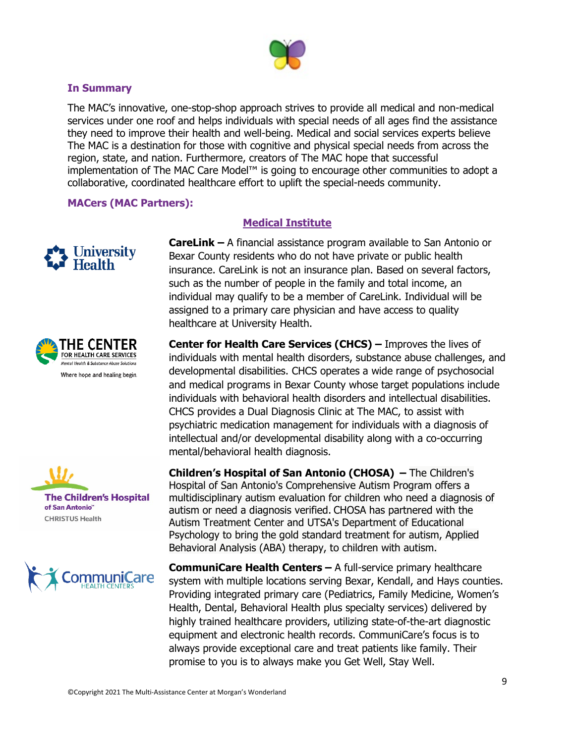

#### **In Summary**

The MAC's innovative, one-stop-shop approach strives to provide all medical and non-medical services under one roof and helps individuals with special needs of all ages find the assistance they need to improve their health and well-being. Medical and social services experts believe The MAC is a destination for those with cognitive and physical special needs from across the region, state, and nation. Furthermore, creators of The MAC hope that successful implementation of The MAC Care Model<sup>™</sup> is going to encourage other communities to adopt a collaborative, coordinated healthcare effort to uplift the special-needs community.

#### **MACers (MAC Partners):**









## **Medical Institute**

**CareLink –** A financial assistance program available to San Antonio or Bexar County residents who do not have private or public health insurance. CareLink is not an insurance plan. Based on several factors, such as the number of people in the family and total income, an individual may qualify to be a member of CareLink. Individual will be assigned to a primary care physician and have access to quality healthcare at University Health.

**Center for Health Care Services (CHCS) –** Improves the lives of individuals with mental health disorders, substance abuse challenges, and developmental disabilities. CHCS operates a wide range of psychosocial and medical programs in Bexar County whose target populations include individuals with behavioral health disorders and intellectual disabilities. CHCS provides a Dual Diagnosis Clinic at The MAC, to assist with psychiatric medication management for individuals with a diagnosis of intellectual and/or developmental disability along with a co-occurring mental/behavioral health diagnosis.

**Children's Hospital of San Antonio (CHOSA) –** The Children's Hospital of San Antonio's Comprehensive Autism Program offers a multidisciplinary autism evaluation for children who need a diagnosis of autism or need a diagnosis verified. CHOSA has partnered with the Autism Treatment Center and UTSA's Department of Educational Psychology to bring the gold standard treatment for autism, Applied Behavioral Analysis (ABA) therapy, to children with autism.

**CommuniCare Health Centers –** A full-service primary healthcare system with multiple locations serving Bexar, Kendall, and Hays counties. Providing integrated primary care (Pediatrics, Family Medicine, Women's Health, Dental, Behavioral Health plus specialty services) delivered by highly trained healthcare providers, utilizing state-of-the-art diagnostic equipment and electronic health records. CommuniCare's focus is to always provide exceptional care and treat patients like family. Their promise to you is to always make you Get Well, Stay Well.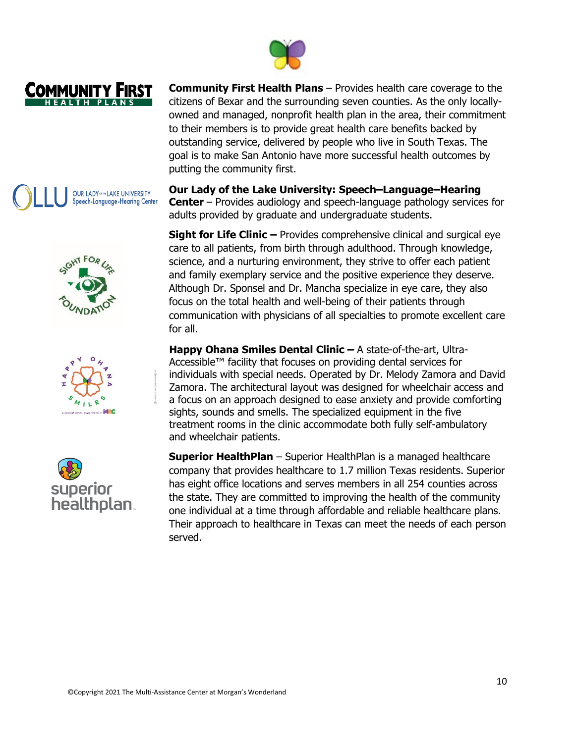

**Community First Health Plans** – Provides health care coverage to the citizens of Bexar and the surrounding seven counties. As the only locallyowned and managed, nonprofit health plan in the area, their commitment to their members is to provide great health care benefits backed by outstanding service, delivered by people who live in South Texas. The goal is to make San Antonio have more successful health outcomes by putting the community first.

**Our Lady of the Lake University: Speech–Language–Hearing Center** – Provides audiology and speech-language pathology services for adults provided by graduate and undergraduate students.

**Sight for Life Clinic –** Provides comprehensive clinical and surgical eye care to all patients, from birth through adulthood. Through knowledge, science, and a nurturing environment, they strive to offer each patient and family exemplary service and the positive experience they deserve. Although Dr. Sponsel and Dr. Mancha specialize in eye care, they also focus on the total health and well-being of their patients through communication with physicians of all specialties to promote excellent care for all.

**Happy Ohana Smiles Dental Clinic –** A state-of-the-art, Ultra-Accessible™ facility that focuses on providing dental services for individuals with special needs. Operated by Dr. Melody Zamora and David Zamora. The architectural layout was designed for wheelchair access and a focus on an approach designed to ease anxiety and provide comforting sights, sounds and smells. The specialized equipment in the five treatment rooms in the clinic accommodate both fully self-ambulatory and wheelchair patients.

**Superior HealthPlan** – Superior HealthPlan is a managed healthcare company that provides healthcare to 1.7 million Texas residents. Superior has eight office locations and serves members in all 254 counties across the state. They are committed to improving the health of the community one individual at a time through affordable and reliable healthcare plans. Their approach to healthcare in Texas can meet the needs of each person served.







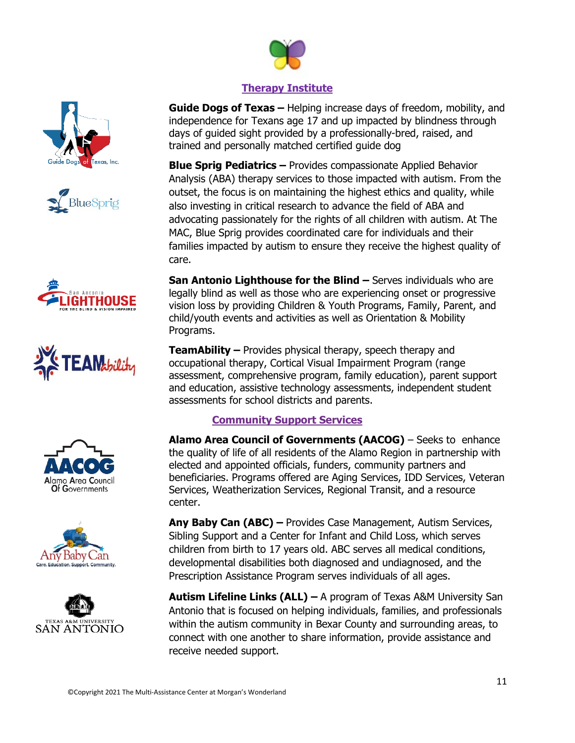

# **Therapy Institute**

**Guide Dogs of Texas –** Helping increase days of freedom, mobility, and independence for Texans age 17 and up impacted by blindness through days of guided sight provided by a professionally-bred, raised, and trained and personally matched certified guide dog

**Blue Sprig Pediatrics –** Provides compassionate Applied Behavior Analysis (ABA) therapy services to those impacted with autism. From the outset, the focus is on maintaining the highest ethics and quality, while also investing in critical research to advance the field of ABA and advocating passionately for the rights of all children with autism. At The MAC, Blue Sprig provides coordinated care for individuals and their families impacted by autism to ensure they receive the highest quality of care.

**San Antonio Lighthouse for the Blind –** Serves individuals who are legally blind as well as those who are experiencing onset or progressive vision loss by providing Children & Youth Programs, Family, Parent, and child/youth events and activities as well as Orientation & Mobility Programs.

**TeamAbility –** Provides physical therapy, speech therapy and occupational therapy, Cortical Visual Impairment Program (range assessment, comprehensive program, family education), parent support and education, assistive technology assessments, independent student assessments for school districts and parents.

# **Community Support Services**

**Alamo Area Council of Governments (AACOG)** – Seeks to enhance the quality of life of all residents of the Alamo Region in partnership with elected and appointed officials, funders, community partners and beneficiaries. Programs offered are Aging Services, IDD Services, Veteran Services, Weatherization Services, Regional Transit, and a resource center.

**Any Baby Can (ABC) –** Provides Case Management, Autism Services, Sibling Support and a Center for Infant and Child Loss, which serves children from birth to 17 years old. ABC serves all medical conditions, developmental disabilities both diagnosed and undiagnosed, and the Prescription Assistance Program serves individuals of all ages.

**Autism Lifeline Links (ALL) –** A program of Texas A&M University San Antonio that is focused on helping individuals, families, and professionals within the autism community in Bexar County and surrounding areas, to connect with one another to share information, provide assistance and receive needed support.













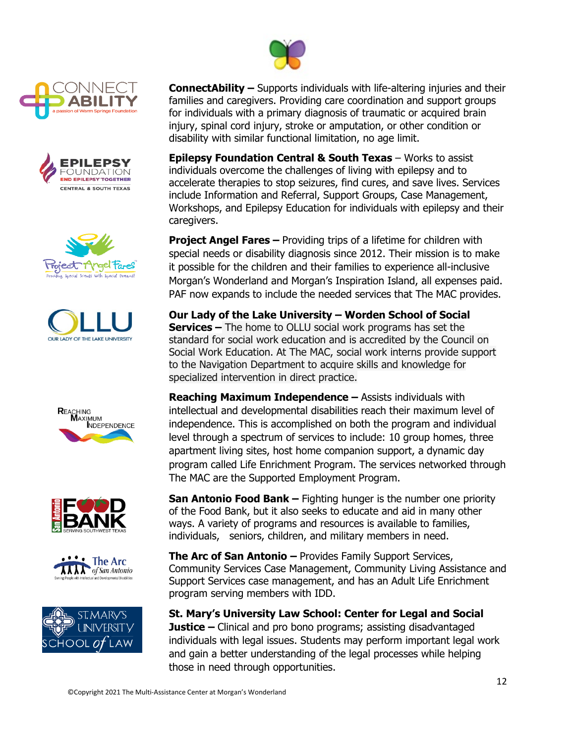

















**ConnectAbility –** Supports individuals with life-altering injuries and their families and caregivers. Providing care coordination and support groups for individuals with a primary diagnosis of traumatic or acquired brain injury, spinal cord injury, stroke or amputation, or other condition or disability with similar functional limitation, no age limit.

**Epilepsy Foundation Central & South Texas** – Works to assist individuals overcome the challenges of living with epilepsy and to accelerate therapies to stop seizures, find cures, and save lives. Services include Information and Referral, Support Groups, Case Management, Workshops, and Epilepsy Education for individuals with epilepsy and their caregivers.

**Project Angel Fares –** Providing trips of a lifetime for children with special needs or disability diagnosis since 2012. Their mission is to make it possible for the children and their families to experience all-inclusive Morgan's Wonderland and Morgan's Inspiration Island, all expenses paid. PAF now expands to include the needed services that The MAC provides.

**Our Lady of the Lake University – Worden School of Social Services –** The home to OLLU social work programs has set the standard for social work education and is accredited by the Council on Social Work Education. At The MAC, social work interns provide support to the Navigation Department to acquire skills and knowledge for specialized intervention in direct practice.

**Reaching Maximum Independence –** Assists individuals with intellectual and developmental disabilities reach their maximum level of independence. This is accomplished on both the program and individual level through a spectrum of services to include: 10 group homes, three apartment living sites, host home companion support, a dynamic day program called Life Enrichment Program. The services networked through The MAC are the Supported Employment Program.

**San Antonio Food Bank –** Fighting hunger is the number one priority of the Food Bank, but it also seeks to educate and aid in many other ways. A variety of programs and resources is available to families, individuals, seniors, children, and military members in need.

**The Arc of San Antonio –** Provides Family Support Services, Community Services Case Management, Community Living Assistance and Support Services case management, and has an Adult Life Enrichment program serving members with IDD.

**St. Mary's University Law School: Center for Legal and Social Justice –** Clinical and pro bono programs; assisting disadvantaged individuals with legal issues. Students may perform important legal work and gain a better understanding of the legal processes while helping those in need through opportunities.